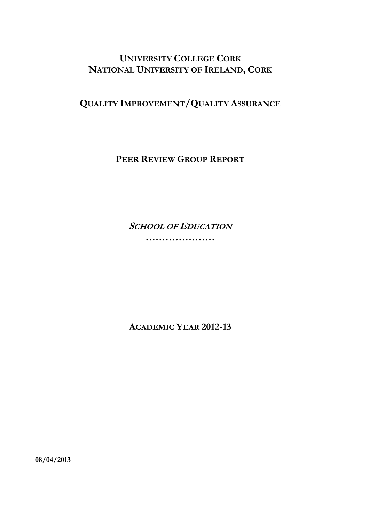# **UNIVERSITY COLLEGE CORK NATIONAL UNIVERSITY OF IRELAND, CORK**

**QUALITY IMPROVEMENT/QUALITY ASSURANCE**

**PEER REVIEW GROUP REPORT**

**SCHOOL OF EDUCATION**

**…………………** 

**ACADEMIC YEAR 2012-13** 

**08/04/2013**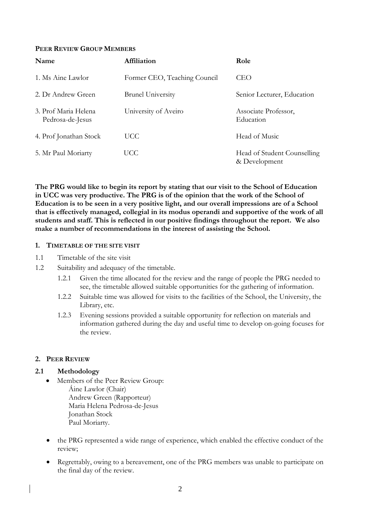#### **PEER REVIEW GROUP MEMBERS**

| Name                                     | Affiliation                  | Role                                         |
|------------------------------------------|------------------------------|----------------------------------------------|
| 1. Ms Aine Lawlor                        | Former CEO, Teaching Council | CEO                                          |
| 2. Dr Andrew Green                       | <b>Brunel University</b>     | Senior Lecturer, Education                   |
| 3. Prof Maria Helena<br>Pedrosa-de-Jesus | University of Aveiro         | Associate Professor,<br>Education            |
| 4. Prof Jonathan Stock                   | UCC.                         | Head of Music                                |
| 5. Mr Paul Moriarty                      | UCC                          | Head of Student Counselling<br>& Development |

**The PRG would like to begin its report by stating that our visit to the School of Education in UCC was very productive. The PRG is of the opinion that the work of the School of Education is to be seen in a very positive light, and our overall impressions are of a School that is effectively managed, collegial in its modus operandi and supportive of the work of all students and staff. This is reflected in our positive findings throughout the report. We also make a number of recommendations in the interest of assisting the School.** 

#### **1. TIMETABLE OF THE SITE VISIT**

- 1.1 Timetable of the site visit
- 1.2 Suitability and adequacy of the timetable.
	- 1.2.1 Given the time allocated for the review and the range of people the PRG needed to see, the timetable allowed suitable opportunities for the gathering of information.
	- 1.2.2 Suitable time was allowed for visits to the facilities of the School, the University, the Library, etc.
	- 1.2.3 Evening sessions provided a suitable opportunity for reflection on materials and information gathered during the day and useful time to develop on-going focuses for the review.

#### **2. PEER REVIEW**

#### **2.1 Methodology**

- Members of the Peer Review Group: Áine Lawlor (Chair) Andrew Green (Rapporteur) Maria Helena Pedrosa-de-Jesus Jonathan Stock Paul Moriarty.
- the PRG represented a wide range of experience, which enabled the effective conduct of the review;
- Regrettably, owing to a bereavement, one of the PRG members was unable to participate on the final day of the review.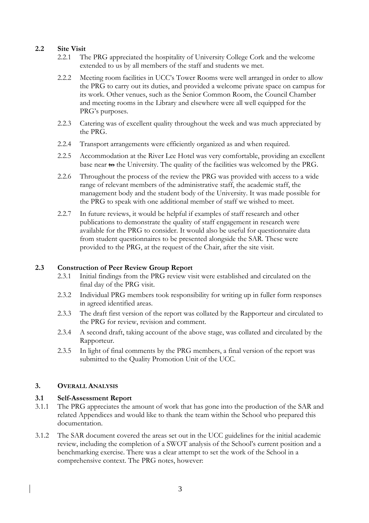### **2.2 Site Visit**

- 2.2.1 The PRG appreciated the hospitality of University College Cork and the welcome extended to us by all members of the staff and students we met.
- 2.2.2 Meeting room facilities in UCC's Tower Rooms were well arranged in order to allow the PRG to carry out its duties, and provided a welcome private space on campus for its work. Other venues, such as the Senior Common Room, the Council Chamber and meeting rooms in the Library and elsewhere were all well equipped for the PRG's purposes.
- 2.2.3 Catering was of excellent quality throughout the week and was much appreciated by the PRG.
- 2.2.4 Transport arrangements were efficiently organized as and when required.
- 2.2.5 Accommodation at the River Lee Hotel was very comfortable, providing an excellent base near to the University. The quality of the facilities was welcomed by the PRG.
- 2.2.6 Throughout the process of the review the PRG was provided with access to a wide range of relevant members of the administrative staff, the academic staff, the management body and the student body of the University. It was made possible for the PRG to speak with one additional member of staff we wished to meet.
- 2.2.7 In future reviews, it would be helpful if examples of staff research and other publications to demonstrate the quality of staff engagement in research were available for the PRG to consider. It would also be useful for questionnaire data from student questionnaires to be presented alongside the SAR. These were provided to the PRG, at the request of the Chair, after the site visit.

### **2.3 Construction of Peer Review Group Report**

- 2.3.1 Initial findings from the PRG review visit were established and circulated on the final day of the PRG visit.
- 2.3.2 Individual PRG members took responsibility for writing up in fuller form responses in agreed identified areas.
- 2.3.3 The draft first version of the report was collated by the Rapporteur and circulated to the PRG for review, revision and comment.
- 2.3.4 A second draft, taking account of the above stage, was collated and circulated by the Rapporteur.
- 2.3.5 In light of final comments by the PRG members, a final version of the report was submitted to the Quality Promotion Unit of the UCC.

### **3. OVERALL ANALYSIS**

### **3.1 Self-Assessment Report**

- 3.1.1 The PRG appreciates the amount of work that has gone into the production of the SAR and related Appendices and would like to thank the team within the School who prepared this documentation.
- 3.1.2 The SAR document covered the areas set out in the UCC guidelines for the initial academic review, including the completion of a SWOT analysis of the School's current position and a benchmarking exercise. There was a clear attempt to set the work of the School in a comprehensive context. The PRG notes, however: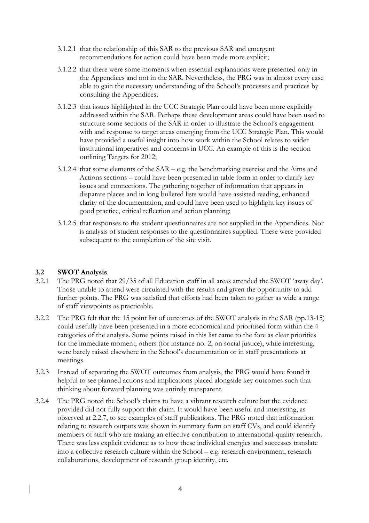- 3.1.2.1 that the relationship of this SAR to the previous SAR and emergent recommendations for action could have been made more explicit;
- 3.1.2.2 that there were some moments when essential explanations were presented only in the Appendices and not in the SAR. Nevertheless, the PRG was in almost every case able to gain the necessary understanding of the School's processes and practices by consulting the Appendices;
- 3.1.2.3 that issues highlighted in the UCC Strategic Plan could have been more explicitly addressed within the SAR. Perhaps these development areas could have been used to structure some sections of the SAR in order to illustrate the School's engagement with and response to target areas emerging from the UCC Strategic Plan. This would have provided a useful insight into how work within the School relates to wider institutional imperatives and concerns in UCC. An example of this is the section outlining Targets for 2012;
- 3.1.2.4 that some elements of the SAR e.g. the benchmarking exercise and the Aims and Actions sections – could have been presented in table form in order to clarify key issues and connections. The gathering together of information that appears in disparate places and in long bulleted lists would have assisted reading, enhanced clarity of the documentation, and could have been used to highlight key issues of good practice, critical reflection and action planning;
- 3.1.2.5 that responses to the student questionnaires are not supplied in the Appendices. Nor is analysis of student responses to the questionnaires supplied. These were provided subsequent to the completion of the site visit.

#### **3.2 SWOT Analysis**

- 3.2.1 The PRG noted that 29/35 of all Education staff in all areas attended the SWOT 'away day'. Those unable to attend were circulated with the results and given the opportunity to add further points. The PRG was satisfied that efforts had been taken to gather as wide a range of staff viewpoints as practicable.
- 3.2.2 The PRG felt that the 15 point list of outcomes of the SWOT analysis in the SAR (pp.13-15) could usefully have been presented in a more economical and prioritised form within the 4 categories of the analysis. Some points raised in this list came to the fore as clear priorities for the immediate moment; others (for instance no. 2, on social justice), while interesting, were barely raised elsewhere in the School's documentation or in staff presentations at meetings.
- 3.2.3 Instead of separating the SWOT outcomes from analysis, the PRG would have found it helpful to see planned actions and implications placed alongside key outcomes such that thinking about forward planning was entirely transparent.
- 3.2.4 The PRG noted the School's claims to have a vibrant research culture but the evidence provided did not fully support this claim. It would have been useful and interesting, as observed at 2.2.7, to see examples of staff publications. The PRG noted that information relating to research outputs was shown in summary form on staff CVs, and could identify members of staff who are making an effective contribution to international-quality research. There was less explicit evidence as to how these individual energies and successes translate into a collective research culture within the School – e.g. research environment, research collaborations, development of research group identity, etc.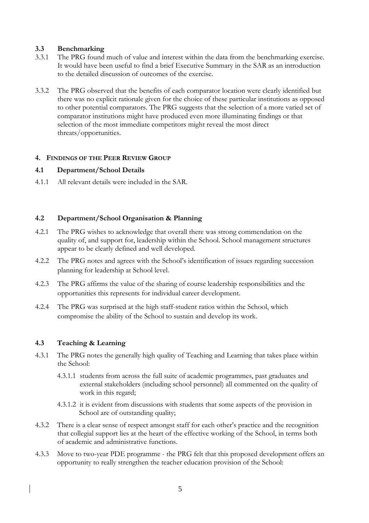### **3.3 Benchmarking**

- 3.3.1 The PRG found much of value and interest within the data from the benchmarking exercise. It would have been useful to find a brief Executive Summary in the SAR as an introduction to the detailed discussion of outcomes of the exercise.
- 3.3.2 The PRG observed that the benefits of each comparator location were clearly identified but there was no explicit rationale given for the choice of these particular institutions as opposed to other potential comparators. The PRG suggests that the selection of a more varied set of comparator institutions might have produced even more illuminating findings or that selection of the most immediate competitors might reveal the most direct threats/opportunities.

### **4. FINDINGS OF THE PEER REVIEW GROUP**

### **4.1 Department/School Details**

4.1.1 All relevant details were included in the SAR.

### **4.2 Department/School Organisation & Planning**

- 4.2.1 The PRG wishes to acknowledge that overall there was strong commendation on the quality of, and support for, leadership within the School. School management structures appear to be clearly defined and well developed.
- 4.2.2 The PRG notes and agrees with the School's identification of issues regarding succession planning for leadership at School level.
- 4.2.3 The PRG affirms the value of the sharing of course leadership responsibilities and the opportunities this represents for individual career development.
- 4.2.4 The PRG was surprised at the high staff-student ratios within the School, which compromise the ability of the School to sustain and develop its work.

#### **4.3 Teaching & Learning**

- 4.3.1 The PRG notes the generally high quality of Teaching and Learning that takes place within the School:
	- 4.3.1.1 students from across the full suite of academic programmes, past graduates and external stakeholders (including school personnel) all commented on the quality of work in this regard;
	- 4.3.1.2 it is evident from discussions with students that some aspects of the provision in School are of outstanding quality;
- 4.3.2 There is a clear sense of respect amongst staff for each other's practice and the recognition that collegial support lies at the heart of the effective working of the School, in terms both of academic and administrative functions.
- 4.3.3 Move to two-year PDE programme the PRG felt that this proposed development offers an opportunity to really strengthen the teacher education provision of the School: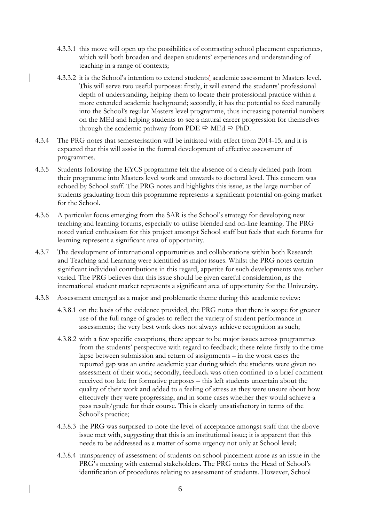- 4.3.3.1 this move will open up the possibilities of contrasting school placement experiences, which will both broaden and deepen students' experiences and understanding of teaching in a range of contexts;
- 4.3.3.2 it is the School's intention to extend students' academic assessment to Masters level. This will serve two useful purposes: firstly, it will extend the students' professional depth of understanding, helping them to locate their professional practice within a more extended academic background; secondly, it has the potential to feed naturally into the School's regular Masters level programme, thus increasing potential numbers on the MEd and helping students to see a natural career progression for themselves through the academic pathway from PDE  $\Rightarrow$  MEd  $\Rightarrow$  PhD.
- 4.3.4 The PRG notes that semesterisation will be initiated with effect from 2014-15, and it is expected that this will assist in the formal development of effective assessment of programmes.
- 4.3.5 Students following the EYCS programme felt the absence of a clearly defined path from their programme into Masters level work and onwards to doctoral level. This concern was echoed by School staff. The PRG notes and highlights this issue, as the large number of students graduating from this programme represents a significant potential on-going market for the School.
- 4.3.6 A particular focus emerging from the SAR is the School's strategy for developing new teaching and learning forums, especially to utilise blended and on-line learning. The PRG noted varied enthusiasm for this project amongst School staff but feels that such forums for learning represent a significant area of opportunity.
- 4.3.7 The development of international opportunities and collaborations within both Research and Teaching and Learning were identified as major issues. Whilst the PRG notes certain significant individual contributions in this regard, appetite for such developments was rather varied. The PRG believes that this issue should be given careful consideration, as the international student market represents a significant area of opportunity for the University.
- 4.3.8 Assessment emerged as a major and problematic theme during this academic review:
	- 4.3.8.1 on the basis of the evidence provided, the PRG notes that there is scope for greater use of the full range of grades to reflect the variety of student performance in assessments; the very best work does not always achieve recognition as such;
	- 4.3.8.2 with a few specific exceptions, there appear to be major issues across programmes from the students' perspective with regard to feedback; these relate firstly to the time lapse between submission and return of assignments – in the worst cases the reported gap was an entire academic year during which the students were given no assessment of their work; secondly, feedback was often confined to a brief comment received too late for formative purposes – this left students uncertain about the quality of their work and added to a feeling of stress as they were unsure about how effectively they were progressing, and in some cases whether they would achieve a pass result/grade for their course. This is clearly unsatisfactory in terms of the School's practice;
	- 4.3.8.3 the PRG was surprised to note the level of acceptance amongst staff that the above issue met with, suggesting that this is an institutional issue; it is apparent that this needs to be addressed as a matter of some urgency not only at School level;
	- 4.3.8.4 transparency of assessment of students on school placement arose as an issue in the PRG's meeting with external stakeholders. The PRG notes the Head of School's identification of procedures relating to assessment of students. However, School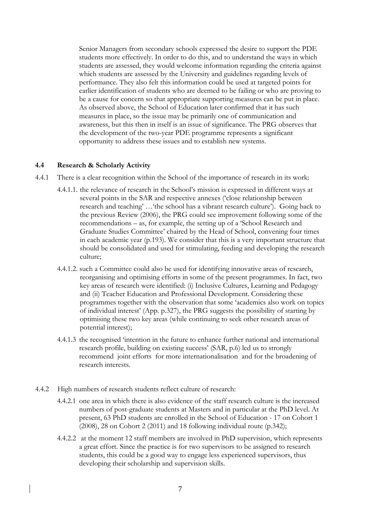Senior Managers from secondary schools expressed the desire to support the PDE students more effectively. In order to do this, and to understand the ways in which students are assessed, they would welcome information regarding the criteria against which students are assessed by the University and guidelines regarding levels of performance. They also felt this information could be used at targeted points for earlier identification of students who are deemed to be failing or who are proving to be a cause for concern so that appropriate supporting measures can be put in place. As observed above, the School of Education later confirmed that it has such measures in place, so the issue may be primarily one of communication and awareness, but this then in itself is an issue of significance. The PRG observes that the development of the two-year PDE programme represents a significant opportunity to address these issues and to establish new systems.

#### **4.4 Research & Scholarly Activity**

- 4.4.1 There is a clear recognition within the School of the importance of research in its work:
	- 4.4.1.1. the relevance of research in the School's mission is expressed in different ways at several points in the SAR and respective annexes ('close relationship between research and teaching' …'the school has a vibrant research culture'). Going back to the previous Review (2006), the PRG could see improvement following some of the recommendations – as, for example, the setting up of a 'School Research and Graduate Studies Committee' chaired by the Head of School, convening four times in each academic year (p.193). We consider that this is a very important structure that should be consolidated and used for stimulating, feeding and developing the research culture;
	- 4.4.1.2. such a Committee could also be used for identifying innovative areas of research, reorganising and optimising efforts in some of the present programmes. In fact, two key areas of research were identified: (i) Inclusive Cultures, Learning and Pedagogy and (ii) Teacher Education and Professional Development. Considering these programmes together with the observation that some 'academics also work on topics of individual interest' (App. p.327), the PRG suggests the possibility of starting by optimising these two key areas (while continuing to seek other research areas of potential interest);
	- 4.4.1.3 the recognised 'intention in the future to enhance further national and international research profile, building on existing success' (SAR, p.6) led us to strongly recommend joint efforts for more internationalisation and for the broadening of research interests.
- 4.4.2 High numbers of research students reflect culture of research:
	- 4.4.2.1 one area in which there is also evidence of the staff research culture is the increased numbers of post-graduate students at Masters and in particular at the PhD level. At present, 63 PhD students are enrolled in the School of Education - 17 on Cohort 1 (2008), 28 on Cohort 2 (2011) and 18 following individual route (p.342);
	- 4.4.2.2 at the moment 12 staff members are involved in PhD supervision, which represents a great effort. Since the practice is for two supervisors to be assigned to research students, this could be a good way to engage less experienced supervisors, thus developing their scholarship and supervision skills.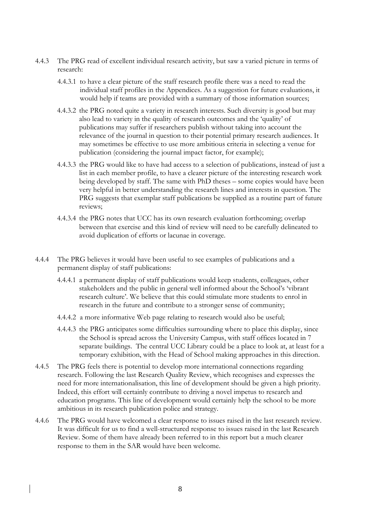- 4.4.3 The PRG read of excellent individual research activity, but saw a varied picture in terms of research:
	- 4.4.3.1 to have a clear picture of the staff research profile there was a need to read the individual staff profiles in the Appendices. As a suggestion for future evaluations, it would help if teams are provided with a summary of those information sources;
	- 4.4.3.2 the PRG noted quite a variety in research interests. Such diversity is good but may also lead to variety in the quality of research outcomes and the 'quality' of publications may suffer if researchers publish without taking into account the relevance of the journal in question to their potential primary research audiences. It may sometimes be effective to use more ambitious criteria in selecting a venue for publication (considering the journal impact factor, for example);
	- 4.4.3.3 the PRG would like to have had access to a selection of publications, instead of just a list in each member profile, to have a clearer picture of the interesting research work being developed by staff. The same with PhD theses – some copies would have been very helpful in better understanding the research lines and interests in question. The PRG suggests that exemplar staff publications be supplied as a routine part of future reviews;
	- 4.4.3.4 the PRG notes that UCC has its own research evaluation forthcoming; overlap between that exercise and this kind of review will need to be carefully delineated to avoid duplication of efforts or lacunae in coverage.
- 4.4.4 The PRG believes it would have been useful to see examples of publications and a permanent display of staff publications:
	- 4.4.4.1 a permanent display of staff publications would keep students, colleagues, other stakeholders and the public in general well informed about the School's 'vibrant research culture'. We believe that this could stimulate more students to enrol in research in the future and contribute to a stronger sense of community;
	- 4.4.4.2 a more informative Web page relating to research would also be useful;
	- 4.4.4.3 the PRG anticipates some difficulties surrounding where to place this display, since the School is spread across the University Campus, with staff offices located in 7 separate buildings. The central UCC Library could be a place to look at, at least for a temporary exhibition, with the Head of School making approaches in this direction.
- 4.4.5 The PRG feels there is potential to develop more international connections regarding research. Following the last Research Quality Review, which recognises and expresses the need for more internationalisation, this line of development should be given a high priority. Indeed, this effort will certainly contribute to driving a novel impetus to research and education programs. This line of development would certainly help the school to be more ambitious in its research publication police and strategy.
- 4.4.6 The PRG would have welcomed a clear response to issues raised in the last research review. It was difficult for us to find a well-structured response to issues raised in the last Research Review. Some of them have already been referred to in this report but a much clearer response to them in the SAR would have been welcome.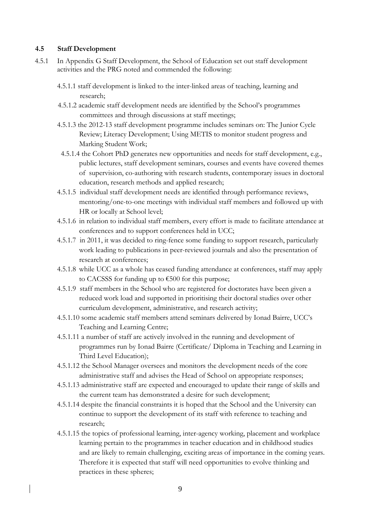#### **4.5 Staff Development**

- 4.5.1 In Appendix G Staff Development, the School of Education set out staff development activities and the PRG noted and commended the following:
	- 4.5.1.1 staff development is linked to the inter-linked areas of teaching, learning and research;
	- 4.5.1.2 academic staff development needs are identified by the School's programmes committees and through discussions at staff meetings;
	- 4.5.1.3 the 2012-13 staff development programme includes seminars on: The Junior Cycle Review; Literacy Development; Using METIS to monitor student progress and Marking Student Work;
	- 4.5.1.4 the Cohort PhD generates new opportunities and needs for staff development, e.g., public lectures, staff development seminars, courses and events have covered themes of supervision, co-authoring with research students, contemporary issues in doctoral education, research methods and applied research;
	- 4.5.1.5 individual staff development needs are identified through performance reviews, mentoring/one-to-one meetings with individual staff members and followed up with HR or locally at School level;
	- 4.5.1.6 in relation to individual staff members, every effort is made to facilitate attendance at conferences and to support conferences held in UCC;
	- 4.5.1.7 in 2011, it was decided to ring-fence some funding to support research, particularly work leading to publications in peer-reviewed journals and also the presentation of research at conferences;
	- 4.5.1.8 while UCC as a whole has ceased funding attendance at conferences, staff may apply to CACSSS for funding up to €500 for this purpose;
	- 4.5.1.9 staff members in the School who are registered for doctorates have been given a reduced work load and supported in prioritising their doctoral studies over other curriculum development, administrative, and research activity;
	- 4.5.1.10 some academic staff members attend seminars delivered by Ionad Bairre, UCC's Teaching and Learning Centre;
	- 4.5.1.11 a number of staff are actively involved in the running and development of programmes run by Ionad Bairre (Certificate/ Diploma in Teaching and Learning in Third Level Education);
	- 4.5.1.12 the School Manager oversees and monitors the development needs of the core administrative staff and advises the Head of School on appropriate responses;
	- 4.5.1.13 administrative staff are expected and encouraged to update their range of skills and the current team has demonstrated a desire for such development;
	- 4.5.1.14 despite the financial constraints it is hoped that the School and the University can continue to support the development of its staff with reference to teaching and research;
	- 4.5.1.15 the topics of professional learning, inter-agency working, placement and workplace learning pertain to the programmes in teacher education and in childhood studies and are likely to remain challenging, exciting areas of importance in the coming years. Therefore it is expected that staff will need opportunities to evolve thinking and practices in these spheres;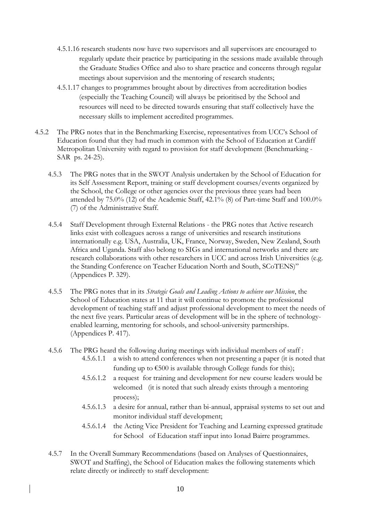- 4.5.1.16 research students now have two supervisors and all supervisors are encouraged to regularly update their practice by participating in the sessions made available through the Graduate Studies Office and also to share practice and concerns through regular meetings about supervision and the mentoring of research students;
- 4.5.1.17 changes to programmes brought about by directives from accreditation bodies (especially the Teaching Council) will always be prioritised by the School and resources will need to be directed towards ensuring that staff collectively have the necessary skills to implement accredited programmes.
- 4.5.2 The PRG notes that in the Benchmarking Exercise, representatives from UCC's School of Education found that they had much in common with the School of Education at Cardiff Metropolitan University with regard to provision for staff development (Benchmarking - SAR ps. 24-25).
	- 4.5.3 The PRG notes that in the SWOT Analysis undertaken by the School of Education for its Self Assessment Report, training or staff development courses/events organized by the School, the College or other agencies over the previous three years had been attended by 75.0% (12) of the Academic Staff, 42.1% (8) of Part-time Staff and 100.0% (7) of the Administrative Staff.
	- 4.5.4 Staff Development through External Relations the PRG notes that Active research links exist with colleagues across a range of universities and research institutions internationally e.g. USA, Australia, UK, France, Norway, Sweden, New Zealand, South Africa and Uganda. Staff also belong to SIGs and international networks and there are research collaborations with other researchers in UCC and across Irish Universities (e.g. the Standing Conference on Teacher Education North and South, SCoTENS)" (Appendices P. 329).
	- 4.5.5 The PRG notes that in its *Strategic Goals and Leading Actions to achieve our Mission*, the School of Education states at 11 that it will continue to promote the professional development of teaching staff and adjust professional development to meet the needs of the next five years. Particular areas of development will be in the sphere of technologyenabled learning, mentoring for schools, and school-university partnerships. (Appendices P. 417).
	- 4.5.6 The PRG heard the following during meetings with individual members of staff :
		- 4.5.6.1.1 a wish to attend conferences when not presenting a paper (it is noted that funding up to  $\epsilon$ 500 is available through College funds for this);
		- 4.5.6.1.2 a request for training and development for new course leaders would be welcomed (it is noted that such already exists through a mentoring process);
		- 4.5.6.1.3 a desire for annual, rather than bi-annual, appraisal systems to set out and monitor individual staff development;
		- 4.5.6.1.4 the Acting Vice President for Teaching and Learning expressed gratitude for School of Education staff input into Ionad Bairre programmes.
	- 4.5.7 In the Overall Summary Recommendations (based on Analyses of Questionnaires, SWOT and Staffing), the School of Education makes the following statements which relate directly or indirectly to staff development: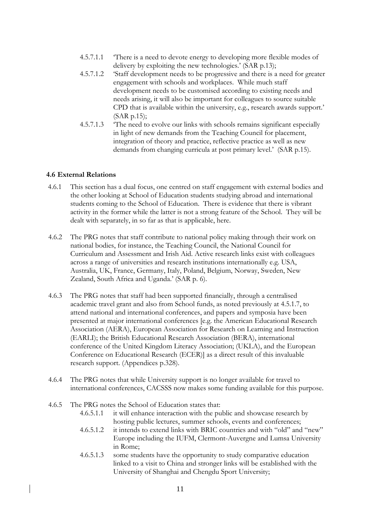- 4.5.7.1.1 'There is a need to devote energy to developing more flexible modes of delivery by exploiting the new technologies.' (SAR p.13);
- 4.5.7.1.2 'Staff development needs to be progressive and there is a need for greater engagement with schools and workplaces. While much staff development needs to be customised according to existing needs and needs arising, it will also be important for colleagues to source suitable CPD that is available within the university, e.g., research awards support.' (SAR p.15);
- 4.5.7.1.3 'The need to evolve our links with schools remains significant especially in light of new demands from the Teaching Council for placement, integration of theory and practice, reflective practice as well as new demands from changing curricula at post primary level.' (SAR p.15).

#### **4.6 External Relations**

- 4.6.1 This section has a dual focus, one centred on staff engagement with external bodies and the other looking at School of Education students studying abroad and international students coming to the School of Education. There is evidence that there is vibrant activity in the former while the latter is not a strong feature of the School. They will be dealt with separately, in so far as that is applicable, here.
- 4.6.2 The PRG notes that staff contribute to national policy making through their work on national bodies, for instance, the Teaching Council, the National Council for Curriculum and Assessment and Irish Aid. Active research links exist with colleagues across a range of universities and research institutions internationally e.g. USA, Australia, UK, France, Germany, Italy, Poland, Belgium, Norway, Sweden, New Zealand, South Africa and Uganda.' (SAR p. 6).
- 4.6.3 The PRG notes that staff had been supported financially, through a centralised academic travel grant and also from School funds, as noted previously at 4.5.1.7, to attend national and international conferences, and papers and symposia have been presented at major international conferences [e.g. the American Educational Research Association (AERA), European Association for Research on Learning and Instruction (EARLI); the British Educational Research Association (BERA), international conference of the United Kingdom Literacy Association; (UKLA), and the European Conference on Educational Research (ECER)] as a direct result of this invaluable research support. (Appendices p.328).
- 4.6.4 The PRG notes that while University support is no longer available for travel to international conferences, CACSSS now makes some funding available for this purpose.
- 4.6.5 The PRG notes the School of Education states that:
	- 4.6.5.1.1 it will enhance interaction with the public and showcase research by hosting public lectures, summer schools, events and conferences;
	- 4.6.5.1.2 it intends to extend links with BRIC countries and with "old" and "new" Europe including the IUFM, Clermont-Auvergne and Lumsa University in Rome;
	- 4.6.5.1.3 some students have the opportunity to study comparative education linked to a visit to China and stronger links will be established with the University of Shanghai and Chengdu Sport University;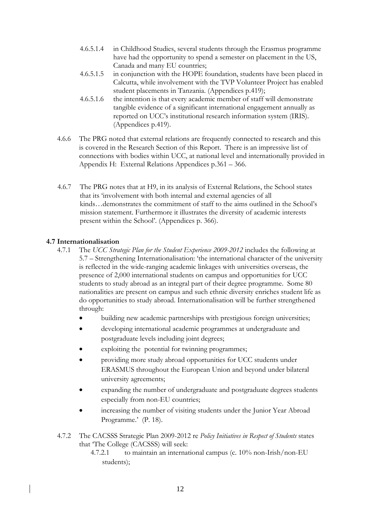- 4.6.5.1.4 in Childhood Studies, several students through the Erasmus programme have had the opportunity to spend a semester on placement in the US, Canada and many EU countries;
- 4.6.5.1.5 in conjunction with the HOPE foundation, students have been placed in Calcutta, while involvement with the TVP Volunteer Project has enabled student placements in Tanzania. (Appendices p.419);
- 4.6.5.1.6 the intention is that every academic member of staff will demonstrate tangible evidence of a significant international engagement annually as reported on UCC's institutional research information system (IRIS). (Appendices p.419).
- 4.6.6 The PRG noted that external relations are frequently connected to research and this is covered in the Research Section of this Report. There is an impressive list of connections with bodies within UCC, at national level and internationally provided in Appendix H: External Relations Appendices p.361 – 366.
- 4.6.7 The PRG notes that at H9, in its analysis of External Relations, the School states that its 'involvement with both internal and external agencies of all kinds…demonstrates the commitment of staff to the aims outlined in the School's mission statement. Furthermore it illustrates the diversity of academic interests present within the School'. (Appendices p. 366).

### **4.7 Internationalisation**

- 4.7.1 The *UCC Strategic Plan for the Student Experience 2009-2012* includes the following at 5.7 – Strengthening Internationalisation: 'the international character of the university is reflected in the wide-ranging academic linkages with universities overseas, the presence of 2,000 international students on campus and opportunities for UCC students to study abroad as an integral part of their degree programme. Some 80 nationalities are present on campus and such ethnic diversity enriches student life as do opportunities to study abroad. Internationalisation will be further strengthened through:
	- building new academic partnerships with prestigious foreign universities;
	- developing international academic programmes at undergraduate and postgraduate levels including joint degrees;
	- exploiting the potential for twinning programmes;
	- providing more study abroad opportunities for UCC students under ERASMUS throughout the European Union and beyond under bilateral university agreements;
	- expanding the number of undergraduate and postgraduate degrees students especially from non-EU countries;
	- increasing the number of visiting students under the Junior Year Abroad Programme.' (P. 18).
- 4.7.2 The CACSSS Strategic Plan 2009-2012 re *Policy Initiatives in Respect of Students* states that 'The College (CACSSS) will seek:
	- 4.7.2.1 to maintain an international campus (c. 10% non-Irish/non-EU students);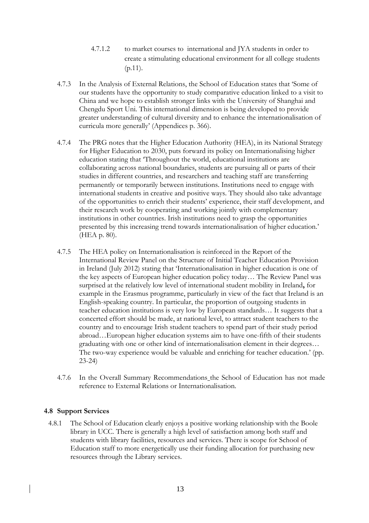- 4.7.1.2 to market courses to international and JYA students in order to create a stimulating educational environment for all college students (p.11).
- 4.7.3 In the Analysis of External Relations, the School of Education states that 'Some of our students have the opportunity to study comparative education linked to a visit to China and we hope to establish stronger links with the University of Shanghai and Chengdu Sport Uni*.* This international dimension is being developed to provide greater understanding of cultural diversity and to enhance the internationalisation of curricula more generally' (Appendices p. 366).
- 4.7.4 The PRG notes that the Higher Education Authority (HEA), in its National Strategy for Higher Education to 2030, puts forward its policy on Internationalising higher education stating that 'Throughout the world, educational institutions are collaborating across national boundaries, students are pursuing all or parts of their studies in different countries, and researchers and teaching staff are transferring permanently or temporarily between institutions. Institutions need to engage with international students in creative and positive ways. They should also take advantage of the opportunities to enrich their students' experience, their staff development, and their research work by cooperating and working jointly with complementary institutions in other countries. Irish institutions need to grasp the opportunities presented by this increasing trend towards internationalisation of higher education.' (HEA p. 80).
- 4.7.5 The HEA policy on Internationalisation is reinforced in the Report of the International Review Panel on the Structure of Initial Teacher Education Provision in Ireland (July 2012) stating that 'Internationalisation in higher education is one of the key aspects of European higher education policy today… The Review Panel was surprised at the relatively low level of international student mobility in Ireland**,** for example in the Erasmus programme, particularly in view of the fact that Ireland is an English-speaking country. In particular, the proportion of outgoing students in teacher education institutions is very low by European standards… It suggests that a concerted effort should be made, at national level, to attract student teachers to the country and to encourage Irish student teachers to spend part of their study period abroad…European higher education systems aim to have one-fifth of their students graduating with one or other kind of internationalisation element in their degrees… The two-way experience would be valuable and enriching for teacher education.' (pp. 23-24)
- 4.7.6 In the Overall Summary Recommendations the School of Education has not made reference to External Relations or Internationalisation.

#### **4.8 Support Services**

4.8.1 The School of Education clearly enjoys a positive working relationship with the Boole library in UCC. There is generally a high level of satisfaction among both staff and students with library facilities, resources and services. There is scope for School of Education staff to more energetically use their funding allocation for purchasing new resources through the Library services.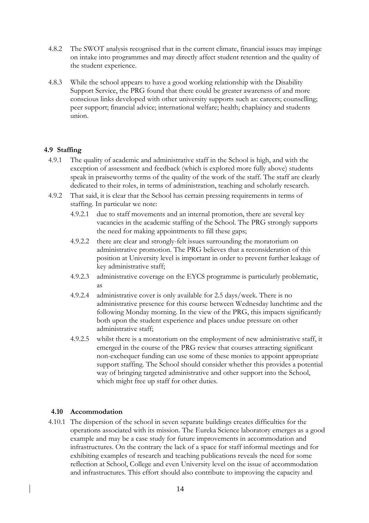- 4.8.2 The SWOT analysis recognised that in the current climate, financial issues may impinge on intake into programmes and may directly affect student retention and the quality of the student experience.
- 4.8.3 While the school appears to have a good working relationship with the Disability Support Service, the PRG found that there could be greater awareness of and more conscious links developed with other university supports such as: careers; counselling; peer support; financial advice; international welfare; health; chaplaincy and students union.

### **4.9 Staffing**

- 4.9.1 The quality of academic and administrative staff in the School is high, and with the exception of assessment and feedback (which is explored more fully above) students speak in praiseworthy terms of the quality of the work of the staff. The staff are clearly dedicated to their roles, in terms of administration, teaching and scholarly research.
- 4.9.2 That said, it is clear that the School has certain pressing requirements in terms of staffing. In particular we note:
	- 4.9.2.1 due to staff movements and an internal promotion, there are several key vacancies in the academic staffing of the School. The PRG strongly supports the need for making appointments to fill these gaps;
	- 4.9.2.2 there are clear and strongly-felt issues surrounding the moratorium on administrative promotion. The PRG believes that a reconsideration of this position at University level is important in order to prevent further leakage of key administrative staff;
	- 4.9.2.3 administrative coverage on the EYCS programme is particularly problematic, as
	- 4.9.2.4 administrative cover is only available for 2.5 days/week. There is no administrative presence for this course between Wednesday lunchtime and the following Monday morning. In the view of the PRG, this impacts significantly both upon the student experience and places undue pressure on other administrative staff;
	- 4.9.2.5 whilst there is a moratorium on the employment of new administrative staff, it emerged in the course of the PRG review that courses attracting significant non-exchequer funding can use some of these monies to appoint appropriate support staffing. The School should consider whether this provides a potential way of bringing targeted administrative and other support into the School, which might free up staff for other duties.

#### **4.10 Accommodation**

4.10.1 The dispersion of the school in seven separate buildings creates difficulties for the operations associated with its mission. The Eureka Science laboratory emerges as a good example and may be a case study for future improvements in accommodation and infrastructures. On the contrary the lack of a space for staff informal meetings and for exhibiting examples of research and teaching publications reveals the need for some reflection at School, College and even University level on the issue of accommodation and infrastructures. This effort should also contribute to improving the capacity and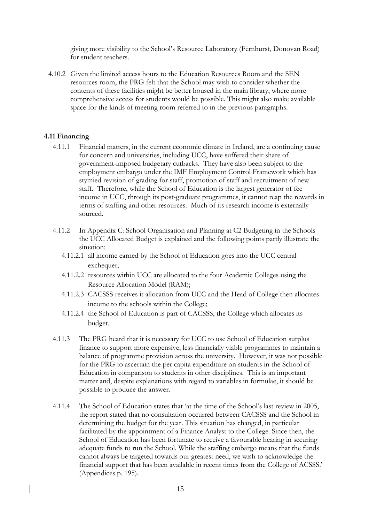giving more visibility to the School's Resource Laboratory (Fernhurst, Donovan Road) for student teachers.

4.10.2 Given the limited access hours to the Education Resources Room and the SEN resources room, the PRG felt that the School may wish to consider whether the contents of these facilities might be better housed in the main library, where more comprehensive access for students would be possible. This might also make available space for the kinds of meeting room referred to in the previous paragraphs.

#### **4.11 Financing**

- 4.11.1 Financial matters, in the current economic climate in Ireland, are a continuing cause for concern and universities, including UCC, have suffered their share of government-imposed budgetary cutbacks. They have also been subject to the employment embargo under the IMF Employment Control Framework which has stymied revision of grading for staff, promotion of staff and recruitment of new staff. Therefore, while the School of Education is the largest generator of fee income in UCC, through its post-graduate programmes, it cannot reap the rewards in terms of staffing and other resources. Much of its research income is externally sourced.
- 4.11.2 In Appendix C: School Organisation and Planning at C2 Budgeting in the Schools the UCC Allocated Budget is explained and the following points partly illustrate the situation:
	- 4.11.2.1 all income earned by the School of Education goes into the UCC central exchequer;
	- 4.11.2.2 resources within UCC are allocated to the four Academic Colleges using the Resource Allocation Model (RAM);
	- 4.11.2.3 CACSSS receives it allocation from UCC and the Head of College then allocates income to the schools within the College;
	- 4.11.2.4 the School of Education is part of CACSSS, the College which allocates its budget.
- 4.11.3 The PRG heard that it is necessary for UCC to use School of Education surplus finance to support more expensive, less financially viable programmes to maintain a balance of programme provision across the university. However, it was not possible for the PRG to ascertain the per capita expenditure on students in the School of Education in comparison to students in other disciplines. This is an important matter and, despite explanations with regard to variables in formulae, it should be possible to produce the answer.
- 4.11.4 The School of Education states that 'at the time of the School's last review in 2005, the report stated that no consultation occurred between CACSSS and the School in determining the budget for the year. This situation has changed, in particular facilitated by the appointment of a Finance Analyst to the College. Since then, the School of Education has been fortunate to receive a favourable hearing in securing adequate funds to run the School. While the staffing embargo means that the funds cannot always be targeted towards our greatest need, we wish to acknowledge the financial support that has been available in recent times from the College of ACSSS.' (Appendices p. 195).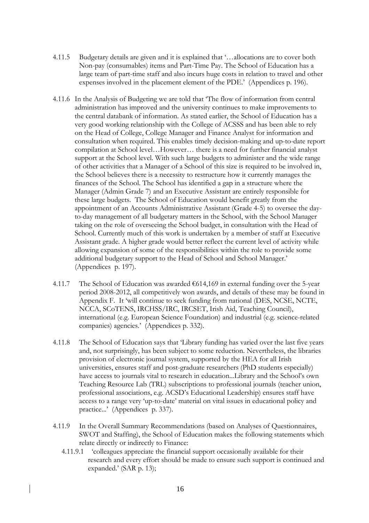- 4.11.5 Budgetary details are given and it is explained that '…allocations are to cover both Non-pay (consumables) items and Part-Time Pay. The School of Education has a large team of part-time staff and also incurs huge costs in relation to travel and other expenses involved in the placement element of the PDE.' (Appendices p. 196).
- 4.11.6 In the Analysis of Budgeting we are told that 'The flow of information from central administration has improved and the university continues to make improvements to the central databank of information. As stated earlier, the School of Education has a very good working relationship with the College of ACSSS and has been able to rely on the Head of College, College Manager and Finance Analyst for information and consultation when required. This enables timely decision-making and up-to-date report compilation at School level…However… there is a need for further financial analyst support at the School level. With such large budgets to administer and the wide range of other activities that a Manager of a School of this size is required to be involved in, the School believes there is a necessity to restructure how it currently manages the finances of the School. The School has identified a gap in a structure where the Manager (Admin Grade 7) and an Executive Assistant are entirely responsible for these large budgets. The School of Education would benefit greatly from the appointment of an Accounts Administrative Assistant (Grade 4-5) to oversee the dayto-day management of all budgetary matters in the School, with the School Manager taking on the role of overseeing the School budget, in consultation with the Head of School. Currently much of this work is undertaken by a member of staff at Executive Assistant grade. A higher grade would better reflect the current level of activity while allowing expansion of some of the responsibilities within the role to provide some additional budgetary support to the Head of School and School Manager.' (Appendices p. 197).
- 4.11.7 The School of Education was awarded  $\epsilon$ 614,169 in external funding over the 5-year period 2008-2012, all competitively won awards, and details of these may be found in Appendix F. It 'will continue to seek funding from national (DES, NCSE, NCTE, NCCA, SCoTENS, IRCHSS/IRC, IRCSET, Irish Aid, Teaching Council), international (e.g. European Science Foundation) and industrial (e.g. science-related companies) agencies.' (Appendices p. 332).
- 4.11.8 The School of Education says that 'Library funding has varied over the last five years and, not surprisingly, has been subject to some reduction. Nevertheless, the libraries provision of electronic journal system, supported by the HEA for all Irish universities, ensures staff and post-graduate researchers (PhD students especially) have access to journals vital to research in education...Library and the School's own Teaching Resource Lab (TRL) subscriptions to professional journals (teacher union, professional associations, e.g. ACSD's Educational Leadership) ensures staff have access to a range very 'up-to-date' material on vital issues in educational policy and practice...' (Appendices p. 337).
- 4.11.9 In the Overall Summary Recommendations (based on Analyses of Questionnaires, SWOT and Staffing), the School of Education makes the following statements which relate directly or indirectly to Finance:
	- 4.11.9.1 'colleagues appreciate the financial support occasionally available for their research and every effort should be made to ensure such support is continued and expanded.' (SAR p. 13);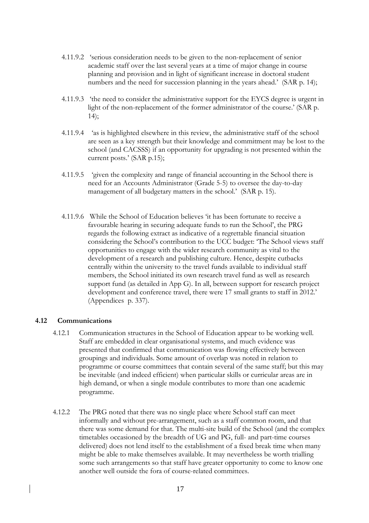- 4.11.9.2 'serious consideration needs to be given to the non-replacement of senior academic staff over the last several years at a time of major change in course planning and provision and in light of significant increase in doctoral student numbers and the need for succession planning in the years ahead.' (SAR p. 14);
- 4.11.9.3 'the need to consider the administrative support for the EYCS degree is urgent in light of the non-replacement of the former administrator of the course.' (SAR p.  $14$ :
- 4.11.9.4 'as is highlighted elsewhere in this review, the administrative staff of the school are seen as a key strength but their knowledge and commitment may be lost to the school (and CACSSS) if an opportunity for upgrading is not presented within the current posts.' (SAR p.15);
- 4.11.9.5 'given the complexity and range of financial accounting in the School there is need for an Accounts Administrator (Grade 5-5) to oversee the day-to-day management of all budgetary matters in the school.' (SAR p. 15).
- 4.11.9.6 While the School of Education believes 'it has been fortunate to receive a favourable hearing in securing adequate funds to run the School', the PRG regards the following extract as indicative of a regrettable financial situation considering the School's contribution to the UCC budget: 'The School views staff opportunities to engage with the wider research community as vital to the development of a research and publishing culture. Hence, despite cutbacks centrally within the university to the travel funds available to individual staff members, the School initiated its own research travel fund as well as research support fund (as detailed in App G). In all, between support for research project development and conference travel, there were 17 small grants to staff in 2012.' (Appendices p. 337).

#### **4.12 Communications**

- 4.12.1 Communication structures in the School of Education appear to be working well. Staff are embedded in clear organisational systems, and much evidence was presented that confirmed that communication was flowing effectively between groupings and individuals. Some amount of overlap was noted in relation to programme or course committees that contain several of the same staff; but this may be inevitable (and indeed efficient) when particular skills or curricular areas are in high demand, or when a single module contributes to more than one academic programme.
- 4.12.2 The PRG noted that there was no single place where School staff can meet informally and without pre-arrangement, such as a staff common room, and that there was some demand for that. The multi-site build of the School (and the complex timetables occasioned by the breadth of UG and PG, full- and part-time courses delivered) does not lend itself to the establishment of a fixed break time when many might be able to make themselves available. It may nevertheless be worth trialling some such arrangements so that staff have greater opportunity to come to know one another well outside the fora of course-related committees.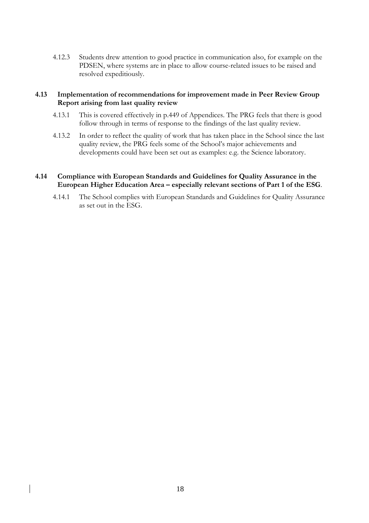4.12.3 Students drew attention to good practice in communication also, for example on the PDSEN, where systems are in place to allow course-related issues to be raised and resolved expeditiously.

### **4.13 Implementation of recommendations for improvement made in Peer Review Group Report arising from last quality review**

- 4.13.1 This is covered effectively in p.449 of Appendices. The PRG feels that there is good follow through in terms of response to the findings of the last quality review.
- 4.13.2 In order to reflect the quality of work that has taken place in the School since the last quality review, the PRG feels some of the School's major achievements and developments could have been set out as examples: e.g. the Science laboratory.

### **4.14 Compliance with European Standards and Guidelines for Quality Assurance in the European Higher Education Area – especially relevant sections of Part 1 of the ESG**.

4.14.1 The School complies with European Standards and Guidelines for Quality Assurance as set out in the ESG.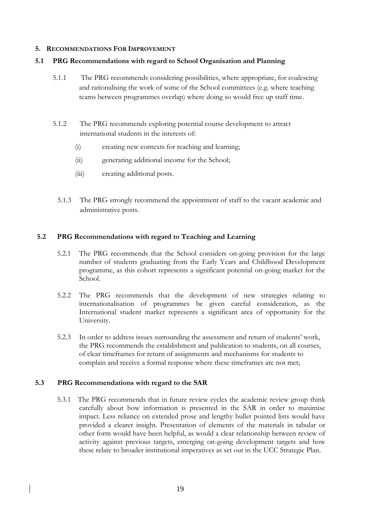#### **5. RECOMMENDATIONS FOR IMPROVEMENT**

### **5.1 PRG Recommendations with regard to School Organisation and Planning**

- 5.1.1 The PRG recommends considering possibilities, where appropriate, for coalescing and rationalising the work of some of the School committees (e.g. where teaching teams between programmes overlap) where doing so would free up staff time.
- 5.1.2 The PRG recommends exploring potential course development to attract international students in the interests of:
	- (i) creating new contexts for teaching and learning;
	- (ii) generating additional income for the School;
	- (iii) creating additional posts.
	- 5.1.3 The PRG strongly recommend the appointment of staff to the vacant academic and administrative posts.

### **5.2 PRG Recommendations with regard to Teaching and Learning**

- 5.2.1 The PRG recommends that the School considers on-going provision for the large number of students graduating from the Early Years and Childhood Development programme, as this cohort represents a significant potential on-going market for the School.
- 5.2.2 The PRG recommends that the development of new strategies relating to internationalisation of programmes be given careful consideration, as the International student market represents a significant area of opportunity for the University.
- 5.2.3 In order to address issues surrounding the assessment and return of students' work, the PRG recommends the establishment and publication to students, on all courses, of clear timeframes for return of assignments and mechanisms for students to complain and receive a formal response where these timeframes are not met;

### **5.3 PRG Recommendations with regard to the SAR**

5.3.1 The PRG recommends that in future review cycles the academic review group think carefully about how information is presented in the SAR in order to maximise impact. Less reliance on extended prose and lengthy bullet pointed lists would have provided a clearer insight. Presentation of elements of the materials in tabular or other form would have been helpful, as would a clear relationship between review of activity against previous targets, emerging on-going development targets and how these relate to broader institutional imperatives as set out in the UCC Strategic Plan.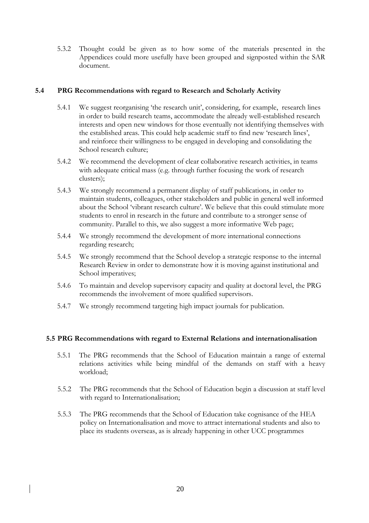5.3.2 Thought could be given as to how some of the materials presented in the Appendices could more usefully have been grouped and signposted within the SAR document.

### **5.4 PRG Recommendations with regard to Research and Scholarly Activity**

- 5.4.1 We suggest reorganising 'the research unit', considering, for example, research lines in order to build research teams, accommodate the already well-established research interests and open new windows for those eventually not identifying themselves with the established areas. This could help academic staff to find new 'research lines', and reinforce their willingness to be engaged in developing and consolidating the School research culture;
- 5.4.2 We recommend the development of clear collaborative research activities, in teams with adequate critical mass (e.g. through further focusing the work of research clusters);
- 5.4.3 We strongly recommend a permanent display of staff publications, in order to maintain students, colleagues, other stakeholders and public in general well informed about the School 'vibrant research culture'. We believe that this could stimulate more students to enrol in research in the future and contribute to a stronger sense of community. Parallel to this, we also suggest a more informative Web page;
- 5.4.4 We strongly recommend the development of more international connections regarding research;
- 5.4.5 We strongly recommend that the School develop a strategic response to the internal Research Review in order to demonstrate how it is moving against institutional and School imperatives;
- 5.4.6 To maintain and develop supervisory capacity and quality at doctoral level, the PRG recommends the involvement of more qualified supervisors.
- 5.4.7 We strongly recommend targeting high impact journals for publication.

#### **5.5 PRG Recommendations with regard to External Relations and internationalisation**

- 5.5.1 The PRG recommends that the School of Education maintain a range of external relations activities while being mindful of the demands on staff with a heavy workload;
- 5.5.2 The PRG recommends that the School of Education begin a discussion at staff level with regard to Internationalisation;
- 5.5.3 The PRG recommends that the School of Education take cognisance of the HEA policy on Internationalisation and move to attract international students and also to place its students overseas, as is already happening in other UCC programmes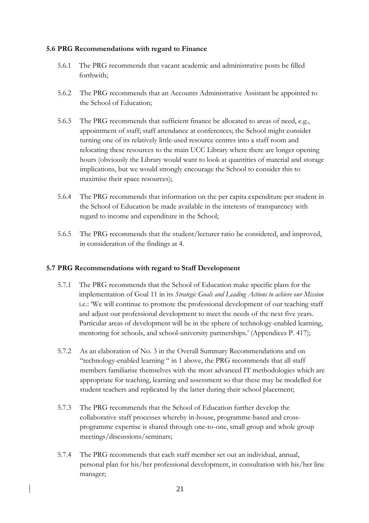#### **5.6 PRG Recommendations with regard to Finance**

- 5.6.1 The PRG recommends that vacant academic and administrative posts be filled forthwith;
- 5.6.2 The PRG recommends that an Accounts Administrative Assistant be appointed to the School of Education;
- 5.6.3 The PRG recommends that sufficient finance be allocated to areas of need, e.g., appointment of staff; staff attendance at conferences; the School might consider turning one of its relatively little-used resource centres into a staff room and relocating these resources to the main UCC Library where there are longer opening hours (obviously the Library would want to look at quantities of material and storage implications, but we would strongly encourage the School to consider this to maximise their space resources);
- 5.6.4 The PRG recommends that information on the per capita expenditure per student in the School of Education be made available in the interests of transparency with regard to income and expenditure in the School;
- 5.6.5 The PRG recommends that the student/lecturer ratio be considered, and improved, in consideration of the findings at 4.

#### **5.7 PRG Recommendations with regard to Staff Development**

- 5.7.1 The PRG recommends that the School of Education make specific plans for the implementation of Goal 11 in its *Strategic Goals and Leading Actions to achieve our Mission* i.e.: 'We will continue to promote the professional development of our teaching staff and adjust our professional development to meet the needs of the next five years. Particular areas of development will be in the sphere of technology-enabled learning, mentoring for schools, and school-university partnerships.' (Appendices P. 417);
- 5.7.2 As an elaboration of No. 3 in the Overall Summary Recommendations and on "technology-enabled learning " in 1 above, the PRG recommends that all staff members familiarise themselves with the most advanced IT methodologies which are appropriate for teaching, learning and assessment so that these may be modelled for student teachers and replicated by the latter during their school placement;
- 5.7.3 The PRG recommends that the School of Education further develop the collaborative staff processes whereby in-house, programme-based and crossprogramme expertise is shared through one-to-one, small group and whole group meetings/discussions/seminars;
- 5.7.4 The PRG recommends that each staff member set out an individual, annual, personal plan for his/her professional development, in consultation with his/her line manager;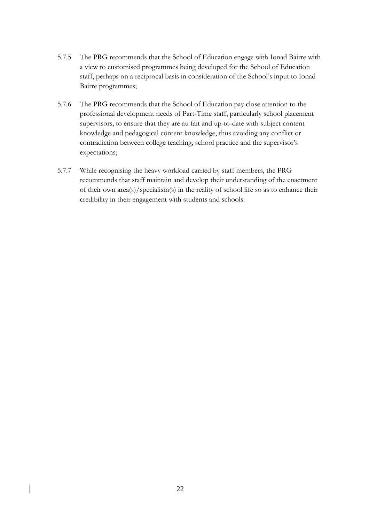- 5.7.5 The PRG recommends that the School of Education engage with Ionad Bairre with a view to customised programmes being developed for the School of Education staff, perhaps on a reciprocal basis in consideration of the School's input to Ionad Bairre programmes;
- 5.7.6 The PRG recommends that the School of Education pay close attention to the professional development needs of Part-Time staff, particularly school placement supervisors, to ensure that they are au fait and up-to-date with subject content knowledge and pedagogical content knowledge, thus avoiding any conflict or contradiction between college teaching, school practice and the supervisor's expectations;
- 5.7.7 While recognising the heavy workload carried by staff members, the PRG recommends that staff maintain and develop their understanding of the enactment of their own area(s)/specialism(s) in the reality of school life so as to enhance their credibility in their engagement with students and schools.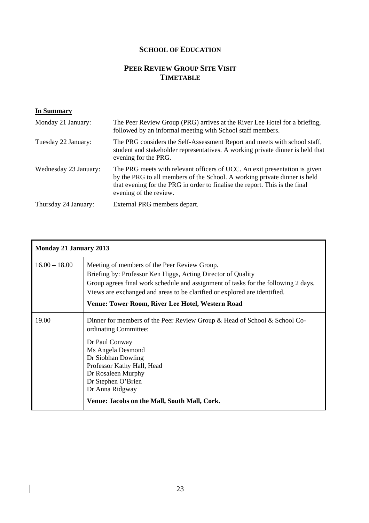# **SCHOOL OF EDUCATION**

# **PEER REVIEW GROUP SITE VISIT TIMETABLE**

### **In Summary**

| Monday 21 January:    | The Peer Review Group (PRG) arrives at the River Lee Hotel for a briefing,<br>followed by an informal meeting with School staff members.                                                                                                                         |
|-----------------------|------------------------------------------------------------------------------------------------------------------------------------------------------------------------------------------------------------------------------------------------------------------|
| Tuesday 22 January:   | The PRG considers the Self-Assessment Report and meets with school staff,<br>student and stakeholder representatives. A working private dinner is held that<br>evening for the PRG.                                                                              |
| Wednesday 23 January: | The PRG meets with relevant officers of UCC. An exit presentation is given<br>by the PRG to all members of the School. A working private dinner is held<br>that evening for the PRG in order to finalise the report. This is the final<br>evening of the review. |
| Thursday 24 January:  | External PRG members depart.                                                                                                                                                                                                                                     |

| Monday 21 January 2013 |                                                                                                                                                                                                                                                                                                                                     |
|------------------------|-------------------------------------------------------------------------------------------------------------------------------------------------------------------------------------------------------------------------------------------------------------------------------------------------------------------------------------|
| $16.00 - 18.00$        | Meeting of members of the Peer Review Group.<br>Briefing by: Professor Ken Higgs, Acting Director of Quality<br>Group agrees final work schedule and assignment of tasks for the following 2 days.<br>Views are exchanged and areas to be clarified or explored are identified.<br>Venue: Tower Room, River Lee Hotel, Western Road |
| 19.00                  | Dinner for members of the Peer Review Group & Head of School & School Co-<br>ordinating Committee:<br>Dr Paul Conway<br>Ms Angela Desmond<br>Dr Siobhan Dowling<br>Professor Kathy Hall, Head<br>Dr Rosaleen Murphy<br>Dr Stephen O'Brien<br>Dr Anna Ridgway<br>Venue: Jacobs on the Mall, South Mall, Cork.                        |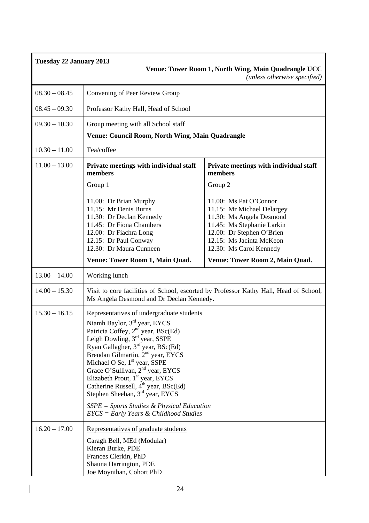| <b>Tuesday 22 January 2013</b><br>Venue: Tower Room 1, North Wing, Main Quadrangle UCC<br>(unless otherwise specified) |                                                                                                                                                                                                                                                                                                                                                                                                                                                                                                                                                                                      |                                                                                                                                                                                                    |
|------------------------------------------------------------------------------------------------------------------------|--------------------------------------------------------------------------------------------------------------------------------------------------------------------------------------------------------------------------------------------------------------------------------------------------------------------------------------------------------------------------------------------------------------------------------------------------------------------------------------------------------------------------------------------------------------------------------------|----------------------------------------------------------------------------------------------------------------------------------------------------------------------------------------------------|
| $08.30 - 08.45$                                                                                                        | Convening of Peer Review Group                                                                                                                                                                                                                                                                                                                                                                                                                                                                                                                                                       |                                                                                                                                                                                                    |
| $08.45 - 09.30$                                                                                                        | Professor Kathy Hall, Head of School                                                                                                                                                                                                                                                                                                                                                                                                                                                                                                                                                 |                                                                                                                                                                                                    |
| $09.30 - 10.30$                                                                                                        | Group meeting with all School staff<br>Venue: Council Room, North Wing, Main Quadrangle                                                                                                                                                                                                                                                                                                                                                                                                                                                                                              |                                                                                                                                                                                                    |
| $10.30 - 11.00$                                                                                                        | Tea/coffee                                                                                                                                                                                                                                                                                                                                                                                                                                                                                                                                                                           |                                                                                                                                                                                                    |
| $11.00 - 13.00$                                                                                                        | Private meetings with individual staff<br>members                                                                                                                                                                                                                                                                                                                                                                                                                                                                                                                                    | Private meetings with individual staff<br>members                                                                                                                                                  |
|                                                                                                                        | Group 1                                                                                                                                                                                                                                                                                                                                                                                                                                                                                                                                                                              | Group 2                                                                                                                                                                                            |
|                                                                                                                        | 11.00: Dr Brian Murphy<br>11.15: Mr Denis Burns<br>11.30: Dr Declan Kennedy<br>11.45: Dr Fiona Chambers<br>12.00: Dr Fiachra Long<br>12.15: Dr Paul Conway<br>12.30: Dr Maura Cunneen                                                                                                                                                                                                                                                                                                                                                                                                | 11.00: Ms Pat O'Connor<br>11.15: Mr Michael Delargey<br>11.30: Ms Angela Desmond<br>11.45: Ms Stephanie Larkin<br>12.00: Dr Stephen O'Brien<br>12.15: Ms Jacinta McKeon<br>12.30: Ms Carol Kennedy |
|                                                                                                                        | Venue: Tower Room 1, Main Quad.                                                                                                                                                                                                                                                                                                                                                                                                                                                                                                                                                      | Venue: Tower Room 2, Main Quad.                                                                                                                                                                    |
| $13.00 - 14.00$                                                                                                        | Working lunch                                                                                                                                                                                                                                                                                                                                                                                                                                                                                                                                                                        |                                                                                                                                                                                                    |
| $14.00 - 15.30$                                                                                                        | Ms Angela Desmond and Dr Declan Kennedy.                                                                                                                                                                                                                                                                                                                                                                                                                                                                                                                                             | Visit to core facilities of School, escorted by Professor Kathy Hall, Head of School,                                                                                                              |
| $15.30 - 16.15$                                                                                                        | Representatives of undergraduate students<br>Niamh Baylor, 3rd year, EYCS<br>Patricia Coffey, 2 <sup>nd</sup> year, BSc(Ed)<br>Leigh Dowling, 3rd year, SSPE<br>Ryan Gallagher, 3 <sup>rd</sup> year, BSc(Ed)<br>Brendan Gilmartin, 2 <sup>nd</sup> year, EYCS<br>Michael O Se, $1st$ year, SSPE<br>Grace O'Sullivan, $2nd$ year, EYCS<br>Elizabeth Prout, 1 <sup>st</sup> year, EYCS<br>Catherine Russell, 4 <sup>th</sup> year, BSc(Ed)<br>Stephen Sheehan, 3 <sup>rd</sup> year, EYCS<br>$SSPE = Sports Studies & Physical Education$<br>$EYCS = Early Years & Childhood Studies$ |                                                                                                                                                                                                    |
| $16.20 - 17.00$                                                                                                        | Representatives of graduate students<br>Caragh Bell, MEd (Modular)<br>Kieran Burke, PDE<br>Frances Clerkin, PhD<br>Shauna Harrington, PDE<br>Joe Moynihan, Cohort PhD                                                                                                                                                                                                                                                                                                                                                                                                                |                                                                                                                                                                                                    |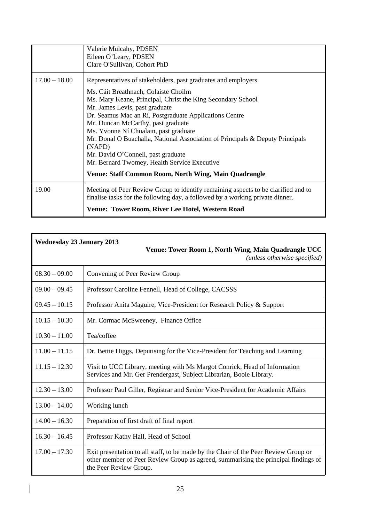|                 | Venue: Tower Room, River Lee Hotel, Western Road                                                                                                                   |
|-----------------|--------------------------------------------------------------------------------------------------------------------------------------------------------------------|
| 19.00           | Meeting of Peer Review Group to identify remaining aspects to be clarified and to<br>finalise tasks for the following day, a followed by a working private dinner. |
|                 | <b>Venue: Staff Common Room, North Wing, Main Quadrangle</b>                                                                                                       |
|                 | Mr. Bernard Twomey, Health Service Executive                                                                                                                       |
|                 | Mr. David O'Connell, past graduate                                                                                                                                 |
|                 | (NAPD)                                                                                                                                                             |
|                 | Ms. Yvonne Ní Chualain, past graduate<br>Mr. Donal O Buachalla, National Association of Principals & Deputy Principals                                             |
|                 | Mr. Duncan McCarthy, past graduate                                                                                                                                 |
|                 | Dr. Seamus Mac an Rí, Postgraduate Applications Centre                                                                                                             |
|                 | Mr. James Levis, past graduate                                                                                                                                     |
|                 | Ms. Mary Keane, Principal, Christ the King Secondary School                                                                                                        |
|                 | Ms. Cáit Breathnach, Colaiste Choilm                                                                                                                               |
| $17.00 - 18.00$ | Representatives of stakeholders, past graduates and employers                                                                                                      |
|                 | Clare O'Sullivan, Cohort PhD                                                                                                                                       |
|                 | Eileen O'Leary, PDSEN                                                                                                                                              |
|                 | Valerie Mulcahy, PDSEN                                                                                                                                             |

| <b>Wednesday 23 January 2013</b><br>Venue: Tower Room 1, North Wing, Main Quadrangle UCC<br>(unless otherwise specified) |                                                                                                                                                                                                     |
|--------------------------------------------------------------------------------------------------------------------------|-----------------------------------------------------------------------------------------------------------------------------------------------------------------------------------------------------|
| $08.30 - 09.00$                                                                                                          | Convening of Peer Review Group                                                                                                                                                                      |
| $09.00 - 09.45$                                                                                                          | Professor Caroline Fennell, Head of College, CACSSS                                                                                                                                                 |
| $09.45 - 10.15$                                                                                                          | Professor Anita Maguire, Vice-President for Research Policy & Support                                                                                                                               |
| $10.15 - 10.30$                                                                                                          | Mr. Cormac McSweeney, Finance Office                                                                                                                                                                |
| $10.30 - 11.00$                                                                                                          | Tea/coffee                                                                                                                                                                                          |
| $11.00 - 11.15$                                                                                                          | Dr. Bettie Higgs, Deputising for the Vice-President for Teaching and Learning                                                                                                                       |
| $11.15 - 12.30$                                                                                                          | Visit to UCC Library, meeting with Ms Margot Conrick, Head of Information<br>Services and Mr. Ger Prendergast, Subject Librarian, Boole Library.                                                    |
| $12.30 - 13.00$                                                                                                          | Professor Paul Giller, Registrar and Senior Vice-President for Academic Affairs                                                                                                                     |
| $13.00 - 14.00$                                                                                                          | Working lunch                                                                                                                                                                                       |
| $14.00 - 16.30$                                                                                                          | Preparation of first draft of final report                                                                                                                                                          |
| $16.30 - 16.45$                                                                                                          | Professor Kathy Hall, Head of School                                                                                                                                                                |
| $17.00 - 17.30$                                                                                                          | Exit presentation to all staff, to be made by the Chair of the Peer Review Group or<br>other member of Peer Review Group as agreed, summarising the principal findings of<br>the Peer Review Group. |